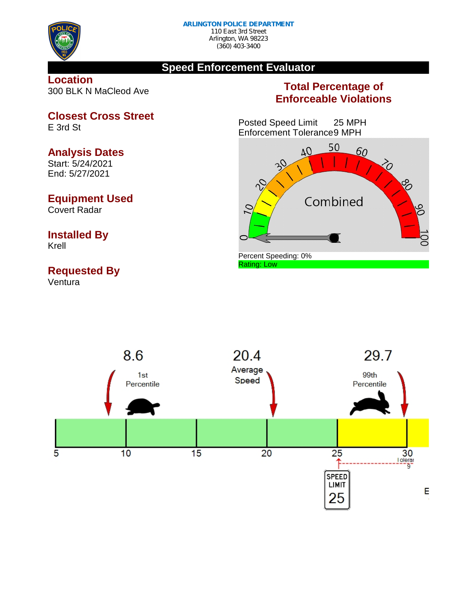

## **Speed Enforcement Evaluator**

**Location** 300 BLK N MaCleod Ave

## **Total Percentage of Enforceable Violations**

Posted Speed Limit 25 MPH Enforcement Tolerance9 MPH





**Closest Cross Street** E 3rd St

## **Analysis Dates**

Start: 5/24/2021 End: 5/27/2021

## **Equipment Used**

Covert Radar

# **Installed By**

Krell

## **Requested By**

Ventura